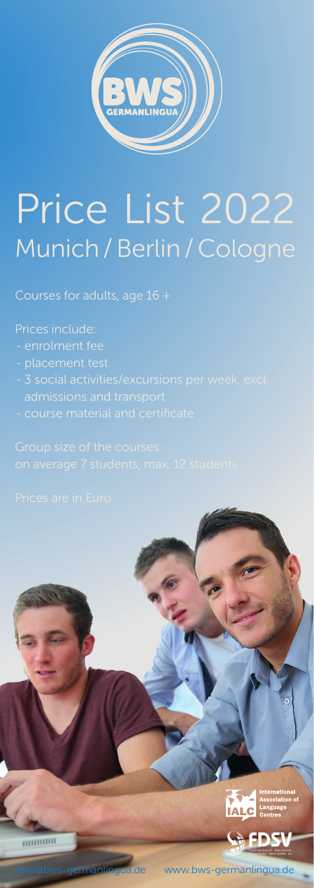

# Price List 2022 Munich / Berlin / Cologne

Courses for adults, age 16 +

Prices include:

- enrolment fee
- 
- 
- 



www.bws-germanlingua.de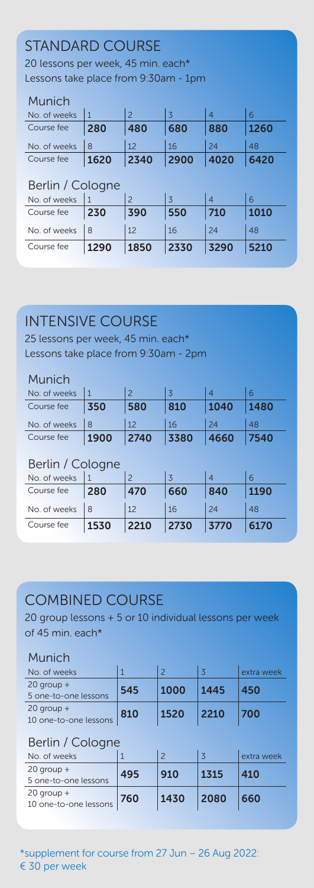# STANDARD COURSE

20 lessons per week, 45 min. each\* Lessons take place from 9:30am - 1pm

### Munich

| .            |      |      |      |      |      |
|--------------|------|------|------|------|------|
| No. of weeks |      |      |      |      |      |
| Course fee   | 280  | 480  | 680  | 880  | 1260 |
| No. of weeks |      | 12   | 16   | 24   | 48   |
| Course fee   | 1620 | 2340 | 2900 | 4020 | 6420 |

## Berlin / Cologne

| No. of weeks |      |      |              |      |      |
|--------------|------|------|--------------|------|------|
| Course fee   | 230  | 390  | 550          | 710  | 1010 |
| No. of weeks | 18   |      | 16           | 24   | 48   |
| Course fee   | 1290 | 1850 | $\vert$ 2330 | 3290 | 5210 |

# INTENSIVE COURSE

25 lessons per week, 45 min. each\* Lessons take place from 9:30am - 2pm

#### Munich

| No. of weeks |      |      |      |      |      |
|--------------|------|------|------|------|------|
| Course fee   | 350  | 580  | 810  | 1040 | 1480 |
| No. of weeks |      | 12   | 16   | 24   | 48   |
| Course fee   | 1900 | 2740 | 3380 | 4660 | 7540 |

### Berlin / Cologne

| No. of weeks |      |                    |              |      |      |
|--------------|------|--------------------|--------------|------|------|
| Course fee   | 280  | 470                | 660          | 840  | 1190 |
| No. of weeks |      |                    | 16           | 24   | 48   |
| Course fee   | 1530 | $\vert 2210 \vert$ | $\vert$ 2730 | 3770 | 6170 |

## COMBINED COURSE

20 group lessons + 5 or 10 individual lessons per week of 45 min. each\*

#### Munich

| No. of weeks                          |     |      |      | extra week |
|---------------------------------------|-----|------|------|------------|
| $20$ group +<br>5 one-to-one lessons  | 545 | 1000 | 1445 | 450        |
| $20$ group +<br>10 one-to-one lessons | 810 | 1520 | 2210 | 700        |

## Berlin / Cologne

| No. of weeks                            |     |      |      | extra week |
|-----------------------------------------|-----|------|------|------------|
| $20$ group $+$<br>5 one-to-one lessons  | 495 | 910  | 1315 | 410        |
| $20$ group $+$<br>10 one-to-one lessons | 760 | 1430 | 2080 | 660        |

\*supplement for course from 27 Jun – 26 Aug 2022: € 30 per week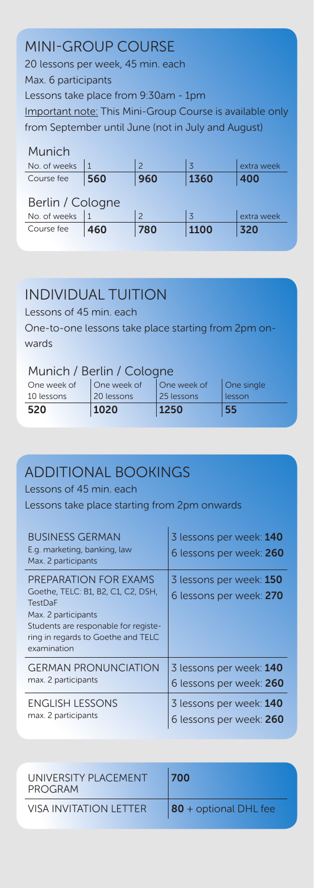# MINI-GROUP COURSE

20 lessons per week, 45 min. each Max. 6 participants Lessons take place from 9:30am - 1pm Important note: This Mini-Group Course is available only from September until June (not in July and August)

| Munich           |     |               |                         |            |  |
|------------------|-----|---------------|-------------------------|------------|--|
| No. of weeks     |     | $\mathcal{P}$ | $\overline{\mathbf{z}}$ | extra week |  |
| Course fee       | 560 | 960           | 1360                    | 400        |  |
| Berlin / Cologne |     |               |                         |            |  |
| No. of weeks     |     | $\mathcal{P}$ | $\overline{z}$          | extra week |  |
| Course fee       | 460 | 780           | 1100                    | 320        |  |

## INDIVIDUAL TUITION

Lessons of 45 min. each

One-to-one lessons take place starting from 2pm onwards

## Munich / Berlin / Cologne

| One week of | One week of | One week of | One single |
|-------------|-------------|-------------|------------|
| 10 lessons  | 20 lessons  | 25 lessons  | lesson     |
| 520         | 1020        | 1250        | 55         |

# ADDITIONAL BOOKINGS

Lessons of 45 min. each

Lessons take place starting from 2pm onwards

| <b>BUSINESS GERMAN</b><br>E.g. marketing, banking, law<br>Max. 2 participants                                                                                                                     | 3 lessons per week: 140<br>6 lessons per week: 260 |
|---------------------------------------------------------------------------------------------------------------------------------------------------------------------------------------------------|----------------------------------------------------|
| PREPARATION FOR EXAMS<br>Goethe, TELC: B1, B2, C1, C2, DSH,<br><b>TestDaF</b><br>Max. 2 participants<br>Students are responable for registe-<br>ring in regards to Goethe and TELC<br>examination | 3 lessons per week: 150<br>6 lessons per week: 270 |
| <b>GERMAN PRONUNCIATION</b>                                                                                                                                                                       | 3 lessons per week: 140                            |
| max. 2 participants                                                                                                                                                                               | 6 lessons per week: 260                            |
| <b>ENGLISH LESSONS</b>                                                                                                                                                                            | 3 lessons per week: 140                            |
| max. 2 participants                                                                                                                                                                               | 6 lessons per week: 260                            |

| UNIVERSITY PLACEMENT<br>PROGRAM | 700                   |
|---------------------------------|-----------------------|
| VISA INVITATION I FTTFR         | 80 + optional DHL fee |